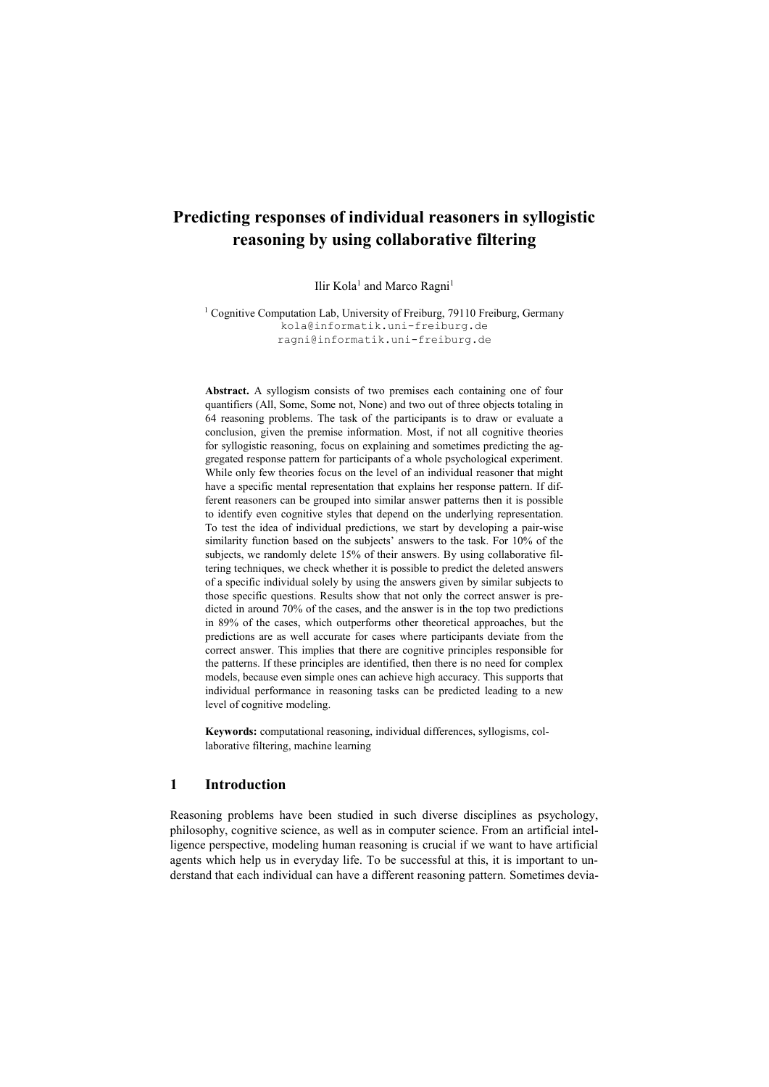# **Predicting responses of individual reasoners in syllogistic reasoning by using collaborative filtering**

Ilir Kola<sup>1</sup> and Marco Ragni<sup>1</sup>

<sup>1</sup> Cognitive Computation Lab, University of Freiburg, 79110 Freiburg, Germany kola@informatik.uni-freiburg.de ragni@informatik.uni-freiburg.de

**Abstract.** A syllogism consists of two premises each containing one of four quantifiers (All, Some, Some not, None) and two out of three objects totaling in 64 reasoning problems. The task of the participants is to draw or evaluate a conclusion, given the premise information. Most, if not all cognitive theories for syllogistic reasoning, focus on explaining and sometimes predicting the aggregated response pattern for participants of a whole psychological experiment. While only few theories focus on the level of an individual reasoner that might have a specific mental representation that explains her response pattern. If different reasoners can be grouped into similar answer patterns then it is possible to identify even cognitive styles that depend on the underlying representation. To test the idea of individual predictions, we start by developing a pair-wise similarity function based on the subjects' answers to the task. For 10% of the subjects, we randomly delete 15% of their answers. By using collaborative filtering techniques, we check whether it is possible to predict the deleted answers of a specific individual solely by using the answers given by similar subjects to those specific questions. Results show that not only the correct answer is predicted in around 70% of the cases, and the answer is in the top two predictions in 89% of the cases, which outperforms other theoretical approaches, but the predictions are as well accurate for cases where participants deviate from the correct answer. This implies that there are cognitive principles responsible for the patterns. If these principles are identified, then there is no need for complex models, because even simple ones can achieve high accuracy. This supports that individual performance in reasoning tasks can be predicted leading to a new level of cognitive modeling.

**Keywords:** computational reasoning, individual differences, syllogisms, collaborative filtering, machine learning

# **1 Introduction**

Reasoning problems have been studied in such diverse disciplines as psychology, philosophy, cognitive science, as well as in computer science. From an artificial intelligence perspective, modeling human reasoning is crucial if we want to have artificial agents which help us in everyday life. To be successful at this, it is important to understand that each individual can have a different reasoning pattern. Sometimes devia-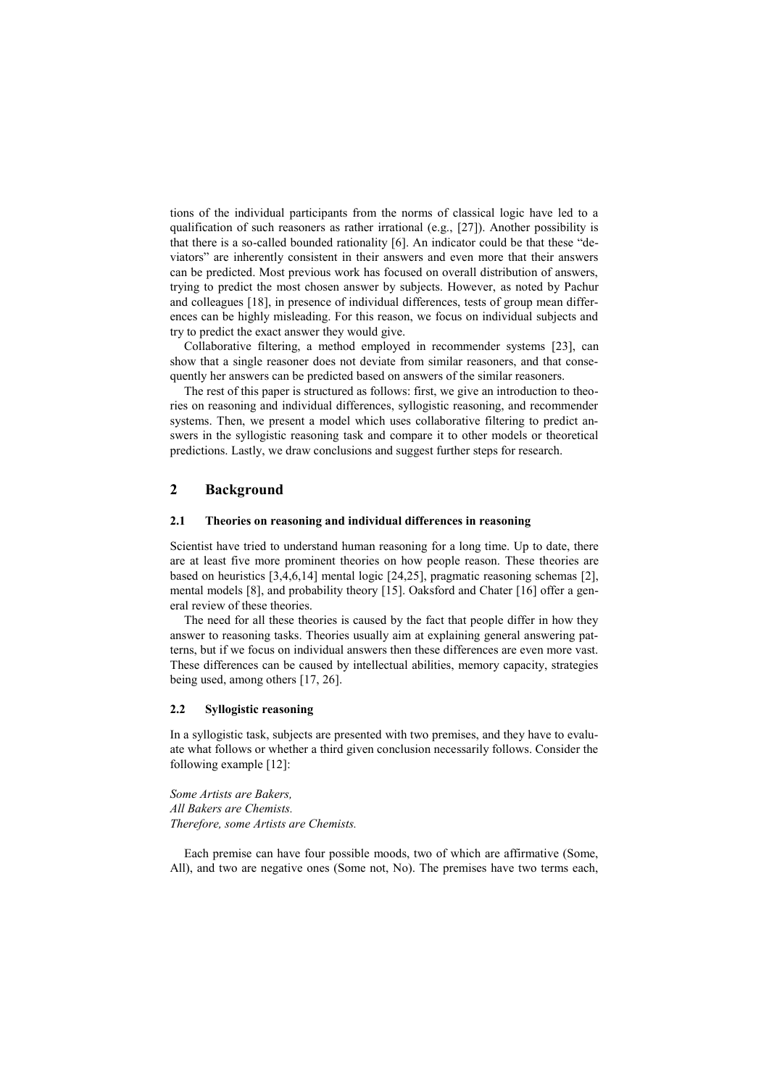tions of the individual participants from the norms of classical logic have led to a qualification of such reasoners as rather irrational (e.g., [27]). Another possibility is that there is a so-called bounded rationality [6]. An indicator could be that these "deviators" are inherently consistent in their answers and even more that their answers can be predicted. Most previous work has focused on overall distribution of answers, trying to predict the most chosen answer by subjects. However, as noted by Pachur and colleagues [18], in presence of individual differences, tests of group mean differences can be highly misleading. For this reason, we focus on individual subjects and try to predict the exact answer they would give.

Collaborative filtering, a method employed in recommender systems [23], can show that a single reasoner does not deviate from similar reasoners, and that consequently her answers can be predicted based on answers of the similar reasoners.

The rest of this paper is structured as follows: first, we give an introduction to theories on reasoning and individual differences, syllogistic reasoning, and recommender systems. Then, we present a model which uses collaborative filtering to predict answers in the syllogistic reasoning task and compare it to other models or theoretical predictions. Lastly, we draw conclusions and suggest further steps for research.

# **2 Background**

#### **2.1 Theories on reasoning and individual differences in reasoning**

Scientist have tried to understand human reasoning for a long time. Up to date, there are at least five more prominent theories on how people reason. These theories are based on heuristics [3,4,6,14] mental logic [24,25], pragmatic reasoning schemas [2], mental models [8], and probability theory [15]. Oaksford and Chater [16] offer a general review of these theories.

The need for all these theories is caused by the fact that people differ in how they answer to reasoning tasks. Theories usually aim at explaining general answering patterns, but if we focus on individual answers then these differences are even more vast. These differences can be caused by intellectual abilities, memory capacity, strategies being used, among others [17, 26].

#### **2.2 Syllogistic reasoning**

In a syllogistic task, subjects are presented with two premises, and they have to evaluate what follows or whether a third given conclusion necessarily follows. Consider the following example [12]:

*Some Artists are Bakers, All Bakers are Chemists. Therefore, some Artists are Chemists.*

Each premise can have four possible moods, two of which are affirmative (Some, All), and two are negative ones (Some not, No). The premises have two terms each,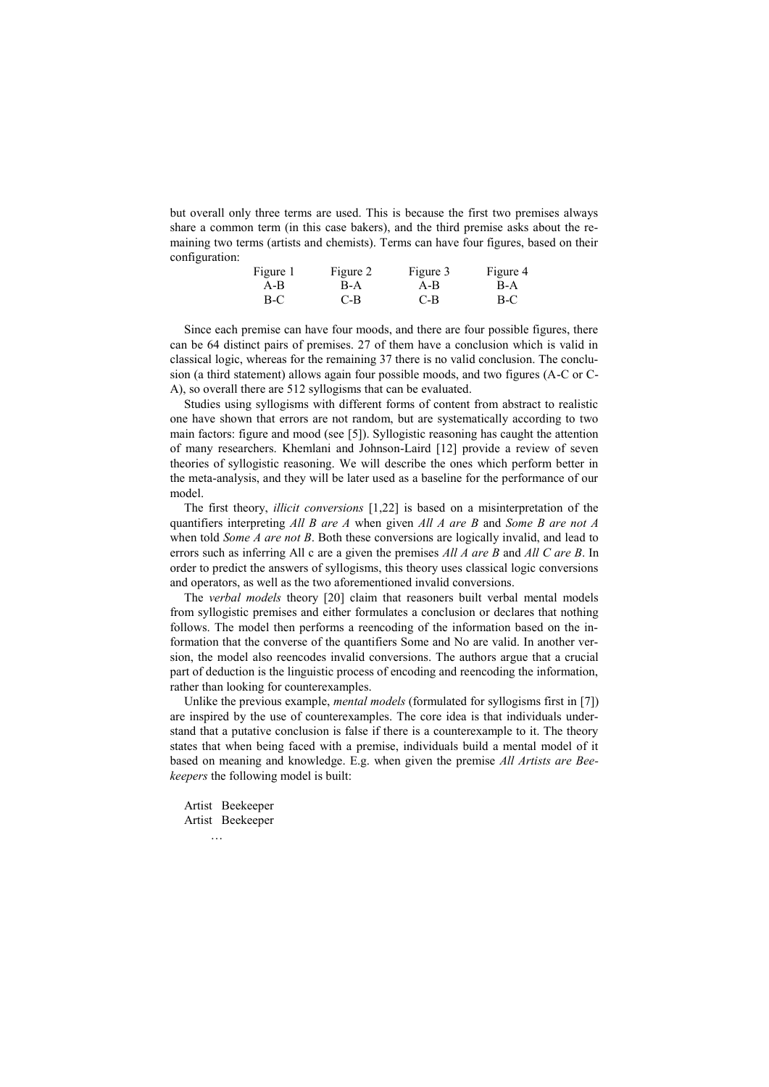but overall only three terms are used. This is because the first two premises always share a common term (in this case bakers), and the third premise asks about the remaining two terms (artists and chemists). Terms can have four figures, based on their configuration:

| Figure 1 | Figure 2 | Figure 3 | Figure 4 |  |
|----------|----------|----------|----------|--|
| $A - B$  | B-A      | $A - B$  | B-A      |  |
| $B-C$    | C-B      | C-B      | $B-C$    |  |

Since each premise can have four moods, and there are four possible figures, there can be 64 distinct pairs of premises. 27 of them have a conclusion which is valid in classical logic, whereas for the remaining 37 there is no valid conclusion. The conclusion (a third statement) allows again four possible moods, and two figures (A-C or C-A), so overall there are 512 syllogisms that can be evaluated.

Studies using syllogisms with different forms of content from abstract to realistic one have shown that errors are not random, but are systematically according to two main factors: figure and mood (see [5]). Syllogistic reasoning has caught the attention of many researchers. Khemlani and Johnson-Laird [12] provide a review of seven theories of syllogistic reasoning. We will describe the ones which perform better in the meta-analysis, and they will be later used as a baseline for the performance of our model.

The first theory, *illicit conversions* [1,22] is based on a misinterpretation of the quantifiers interpreting *All B are A* when given *All A are B* and *Some B are not A* when told *Some A are not B*. Both these conversions are logically invalid, and lead to errors such as inferring All c are a given the premises *All A are B* and *All C are B*. In order to predict the answers of syllogisms, this theory uses classical logic conversions and operators, as well as the two aforementioned invalid conversions.

The *verbal models* theory [20] claim that reasoners built verbal mental models from syllogistic premises and either formulates a conclusion or declares that nothing follows. The model then performs a reencoding of the information based on the information that the converse of the quantifiers Some and No are valid. In another version, the model also reencodes invalid conversions. The authors argue that a crucial part of deduction is the linguistic process of encoding and reencoding the information, rather than looking for counterexamples.

Unlike the previous example, *mental models* (formulated for syllogisms first in [7]) are inspired by the use of counterexamples. The core idea is that individuals understand that a putative conclusion is false if there is a counterexample to it. The theory states that when being faced with a premise, individuals build a mental model of it based on meaning and knowledge. E.g. when given the premise *All Artists are Beekeepers* the following model is built:

Artist Beekeeper Artist Beekeeper …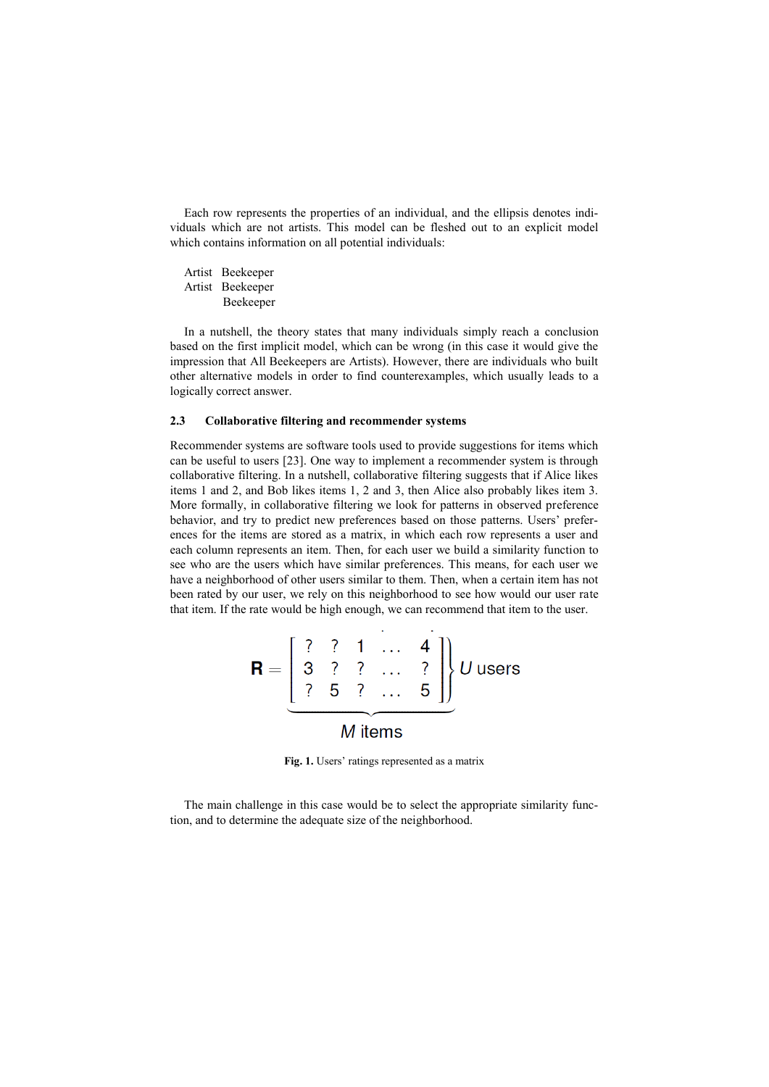Each row represents the properties of an individual, and the ellipsis denotes individuals which are not artists. This model can be fleshed out to an explicit model which contains information on all potential individuals:

Artist Beekeeper Artist Beekeeper Beekeeper

In a nutshell, the theory states that many individuals simply reach a conclusion based on the first implicit model, which can be wrong (in this case it would give the impression that All Beekeepers are Artists). However, there are individuals who built other alternative models in order to find counterexamples, which usually leads to a logically correct answer.

## **2.3 Collaborative filtering and recommender systems**

Recommender systems are software tools used to provide suggestions for items which can be useful to users [23]. One way to implement a recommender system is through collaborative filtering. In a nutshell, collaborative filtering suggests that if Alice likes items 1 and 2, and Bob likes items 1, 2 and 3, then Alice also probably likes item 3. More formally, in collaborative filtering we look for patterns in observed preference behavior, and try to predict new preferences based on those patterns. Users' preferences for the items are stored as a matrix, in which each row represents a user and each column represents an item. Then, for each user we build a similarity function to see who are the users which have similar preferences. This means, for each user we have a neighborhood of other users similar to them. Then, when a certain item has not been rated by our user, we rely on this neighborhood to see how would our user rate that item. If the rate would be high enough, we can recommend that item to the user.

$$
\mathbf{R} = \left[ \begin{array}{cccc} ? & ? & 1 & \dots & 4 \\ 3 & ? & ? & \dots & ? \\ ? & 5 & ? & \dots & 5 \end{array} \right] \right\} U \text{ users}
$$
  
M items

**Fig. 1.** Users' ratings represented as a matrix

The main challenge in this case would be to select the appropriate similarity function, and to determine the adequate size of the neighborhood.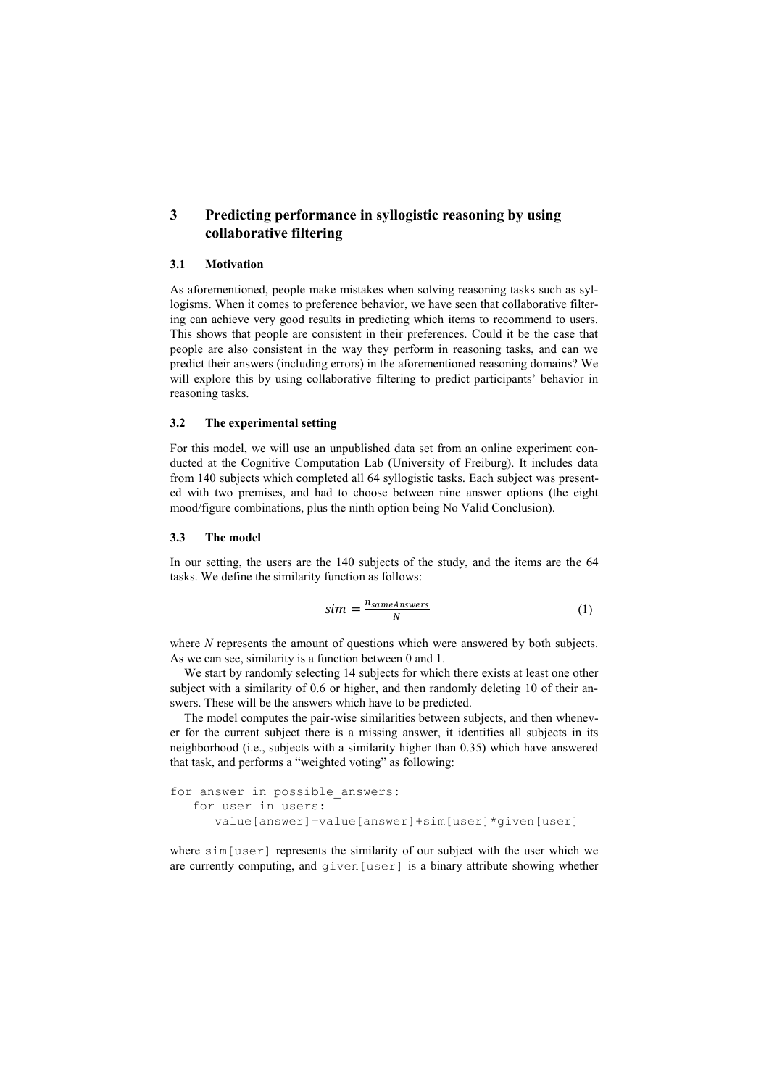# **3 Predicting performance in syllogistic reasoning by using collaborative filtering**

## **3.1 Motivation**

As aforementioned, people make mistakes when solving reasoning tasks such as syllogisms. When it comes to preference behavior, we have seen that collaborative filtering can achieve very good results in predicting which items to recommend to users. This shows that people are consistent in their preferences. Could it be the case that people are also consistent in the way they perform in reasoning tasks, and can we predict their answers (including errors) in the aforementioned reasoning domains? We will explore this by using collaborative filtering to predict participants' behavior in reasoning tasks.

#### **3.2 The experimental setting**

For this model, we will use an unpublished data set from an online experiment conducted at the Cognitive Computation Lab (University of Freiburg). It includes data from 140 subjects which completed all 64 syllogistic tasks. Each subject was presented with two premises, and had to choose between nine answer options (the eight mood/figure combinations, plus the ninth option being No Valid Conclusion).

## **3.3 The model**

In our setting, the users are the 140 subjects of the study, and the items are the 64 tasks. We define the similarity function as follows:

$$
sim = \frac{n_{sameAnswers}}{N}
$$
 (1)

where *N* represents the amount of questions which were answered by both subjects. As we can see, similarity is a function between 0 and 1.

We start by randomly selecting 14 subjects for which there exists at least one other subject with a similarity of 0.6 or higher, and then randomly deleting 10 of their answers. These will be the answers which have to be predicted.

The model computes the pair-wise similarities between subjects, and then whenever for the current subject there is a missing answer, it identifies all subjects in its neighborhood (i.e., subjects with a similarity higher than 0.35) which have answered that task, and performs a "weighted voting" as following:

```
for answer in possible answers:
for user in users:
   value[answer]=value[answer]+sim[user]*given[user]
```
where sim [user] represents the similarity of our subject with the user which we are currently computing, and  $qiven[user]$  is a binary attribute showing whether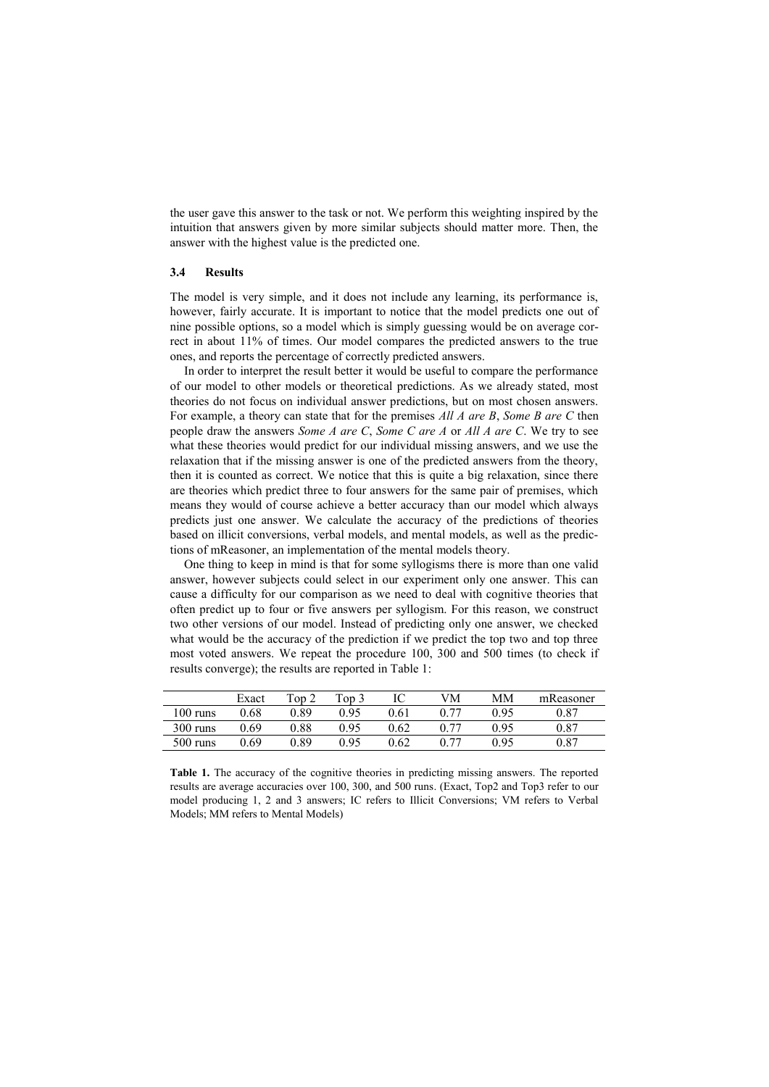the user gave this answer to the task or not. We perform this weighting inspired by the intuition that answers given by more similar subjects should matter more. Then, the answer with the highest value is the predicted one.

### **3.4 Results**

The model is very simple, and it does not include any learning, its performance is, however, fairly accurate. It is important to notice that the model predicts one out of nine possible options, so a model which is simply guessing would be on average correct in about 11% of times. Our model compares the predicted answers to the true ones, and reports the percentage of correctly predicted answers.

In order to interpret the result better it would be useful to compare the performance of our model to other models or theoretical predictions. As we already stated, most theories do not focus on individual answer predictions, but on most chosen answers. For example, a theory can state that for the premises *All A are B*, *Some B are C* then people draw the answers *Some A are C*, *Some C are A* or *All A are C*. We try to see what these theories would predict for our individual missing answers, and we use the relaxation that if the missing answer is one of the predicted answers from the theory, then it is counted as correct. We notice that this is quite a big relaxation, since there are theories which predict three to four answers for the same pair of premises, which means they would of course achieve a better accuracy than our model which always predicts just one answer. We calculate the accuracy of the predictions of theories based on illicit conversions, verbal models, and mental models, as well as the predictions of mReasoner, an implementation of the mental models theory.

One thing to keep in mind is that for some syllogisms there is more than one valid answer, however subjects could select in our experiment only one answer. This can cause a difficulty for our comparison as we need to deal with cognitive theories that often predict up to four or five answers per syllogism. For this reason, we construct two other versions of our model. Instead of predicting only one answer, we checked what would be the accuracy of the prediction if we predict the top two and top three most voted answers. We repeat the procedure 100, 300 and 500 times (to check if results converge); the results are reported in Table 1:

|                    | Exact | Top 2 | Top 3 | IC   | VM   | MМ   | mReasoner |
|--------------------|-------|-------|-------|------|------|------|-----------|
| $100 \text{ runs}$ | 0.68  | 289   | 0.95  | 0.61 | በ 77 | 0.95 | 0.87      |
| 300 runs           | 0.69  | ).88  | 0.95  | 0.62 |      | 0.95 | 0.87      |
| $500$ runs         | 0 69  | ) 89  | 0 95  | 0.62 |      | 0.95 | 0.87      |

**Table 1.** The accuracy of the cognitive theories in predicting missing answers. The reported results are average accuracies over 100, 300, and 500 runs. (Exact, Top2 and Top3 refer to our model producing 1, 2 and 3 answers; IC refers to Illicit Conversions; VM refers to Verbal Models; MM refers to Mental Models)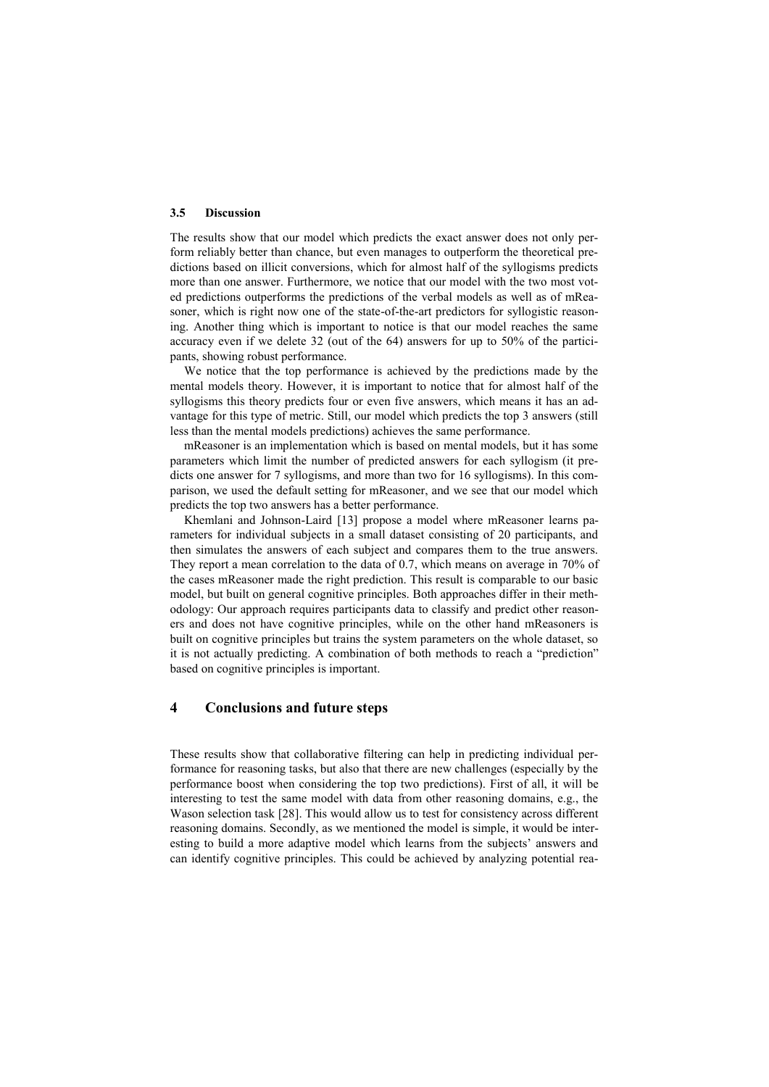#### **3.5 Discussion**

The results show that our model which predicts the exact answer does not only perform reliably better than chance, but even manages to outperform the theoretical predictions based on illicit conversions, which for almost half of the syllogisms predicts more than one answer. Furthermore, we notice that our model with the two most voted predictions outperforms the predictions of the verbal models as well as of mReasoner, which is right now one of the state-of-the-art predictors for syllogistic reasoning. Another thing which is important to notice is that our model reaches the same accuracy even if we delete 32 (out of the 64) answers for up to 50% of the participants, showing robust performance.

We notice that the top performance is achieved by the predictions made by the mental models theory. However, it is important to notice that for almost half of the syllogisms this theory predicts four or even five answers, which means it has an advantage for this type of metric. Still, our model which predicts the top 3 answers (still less than the mental models predictions) achieves the same performance.

mReasoner is an implementation which is based on mental models, but it has some parameters which limit the number of predicted answers for each syllogism (it predicts one answer for 7 syllogisms, and more than two for 16 syllogisms). In this comparison, we used the default setting for mReasoner, and we see that our model which predicts the top two answers has a better performance.

Khemlani and Johnson-Laird [13] propose a model where mReasoner learns parameters for individual subjects in a small dataset consisting of 20 participants, and then simulates the answers of each subject and compares them to the true answers. They report a mean correlation to the data of 0.7, which means on average in 70% of the cases mReasoner made the right prediction. This result is comparable to our basic model, but built on general cognitive principles. Both approaches differ in their methodology: Our approach requires participants data to classify and predict other reasoners and does not have cognitive principles, while on the other hand mReasoners is built on cognitive principles but trains the system parameters on the whole dataset, so it is not actually predicting. A combination of both methods to reach a "prediction" based on cognitive principles is important.

# **4 Conclusions and future steps**

These results show that collaborative filtering can help in predicting individual performance for reasoning tasks, but also that there are new challenges (especially by the performance boost when considering the top two predictions). First of all, it will be interesting to test the same model with data from other reasoning domains, e.g., the Wason selection task [28]. This would allow us to test for consistency across different reasoning domains. Secondly, as we mentioned the model is simple, it would be interesting to build a more adaptive model which learns from the subjects' answers and can identify cognitive principles. This could be achieved by analyzing potential rea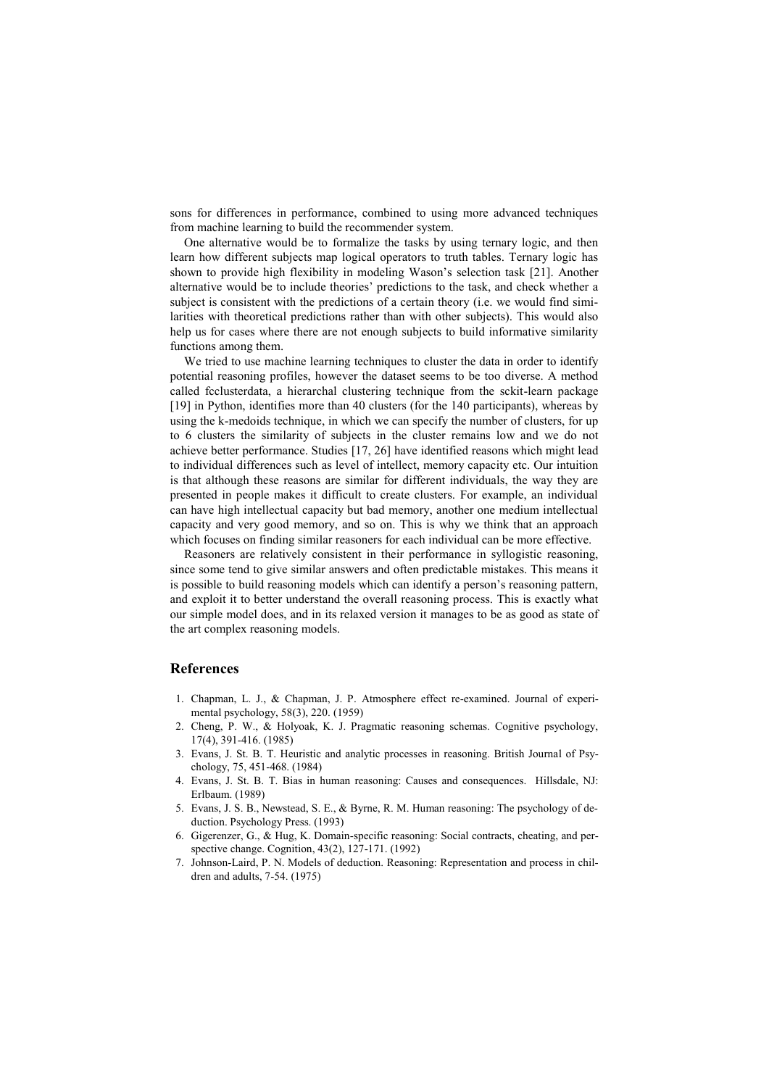sons for differences in performance, combined to using more advanced techniques from machine learning to build the recommender system.

One alternative would be to formalize the tasks by using ternary logic, and then learn how different subjects map logical operators to truth tables. Ternary logic has shown to provide high flexibility in modeling Wason's selection task [21]. Another alternative would be to include theories' predictions to the task, and check whether a subject is consistent with the predictions of a certain theory (i.e. we would find similarities with theoretical predictions rather than with other subjects). This would also help us for cases where there are not enough subjects to build informative similarity functions among them.

We tried to use machine learning techniques to cluster the data in order to identify potential reasoning profiles, however the dataset seems to be too diverse. A method called fcclusterdata, a hierarchal clustering technique from the sckit-learn package [19] in Python, identifies more than 40 clusters (for the 140 participants), whereas by using the k-medoids technique, in which we can specify the number of clusters, for up to 6 clusters the similarity of subjects in the cluster remains low and we do not achieve better performance. Studies [17, 26] have identified reasons which might lead to individual differences such as level of intellect, memory capacity etc. Our intuition is that although these reasons are similar for different individuals, the way they are presented in people makes it difficult to create clusters. For example, an individual can have high intellectual capacity but bad memory, another one medium intellectual capacity and very good memory, and so on. This is why we think that an approach which focuses on finding similar reasoners for each individual can be more effective.

Reasoners are relatively consistent in their performance in syllogistic reasoning, since some tend to give similar answers and often predictable mistakes. This means it is possible to build reasoning models which can identify a person's reasoning pattern, and exploit it to better understand the overall reasoning process. This is exactly what our simple model does, and in its relaxed version it manages to be as good as state of the art complex reasoning models.

## **References**

- 1. Chapman, L. J., & Chapman, J. P. Atmosphere effect re-examined. Journal of experimental psychology, 58(3), 220. (1959)
- 2. Cheng, P. W., & Holyoak, K. J. Pragmatic reasoning schemas. Cognitive psychology, 17(4), 391-416. (1985)
- 3. Evans, J. St. B. T. Heuristic and analytic processes in reasoning. British Journal of Psychology, 75, 451-468. (1984)
- 4. Evans, J. St. B. T. Bias in human reasoning: Causes and consequences. Hillsdale, NJ: Erlbaum. (1989)
- 5. Evans, J. S. B., Newstead, S. E., & Byrne, R. M. Human reasoning: The psychology of deduction. Psychology Press. (1993)
- 6. Gigerenzer, G., & Hug, K. Domain-specific reasoning: Social contracts, cheating, and perspective change. Cognition, 43(2), 127-171. (1992)
- 7. Johnson-Laird, P. N. Models of deduction. Reasoning: Representation and process in children and adults, 7-54. (1975)